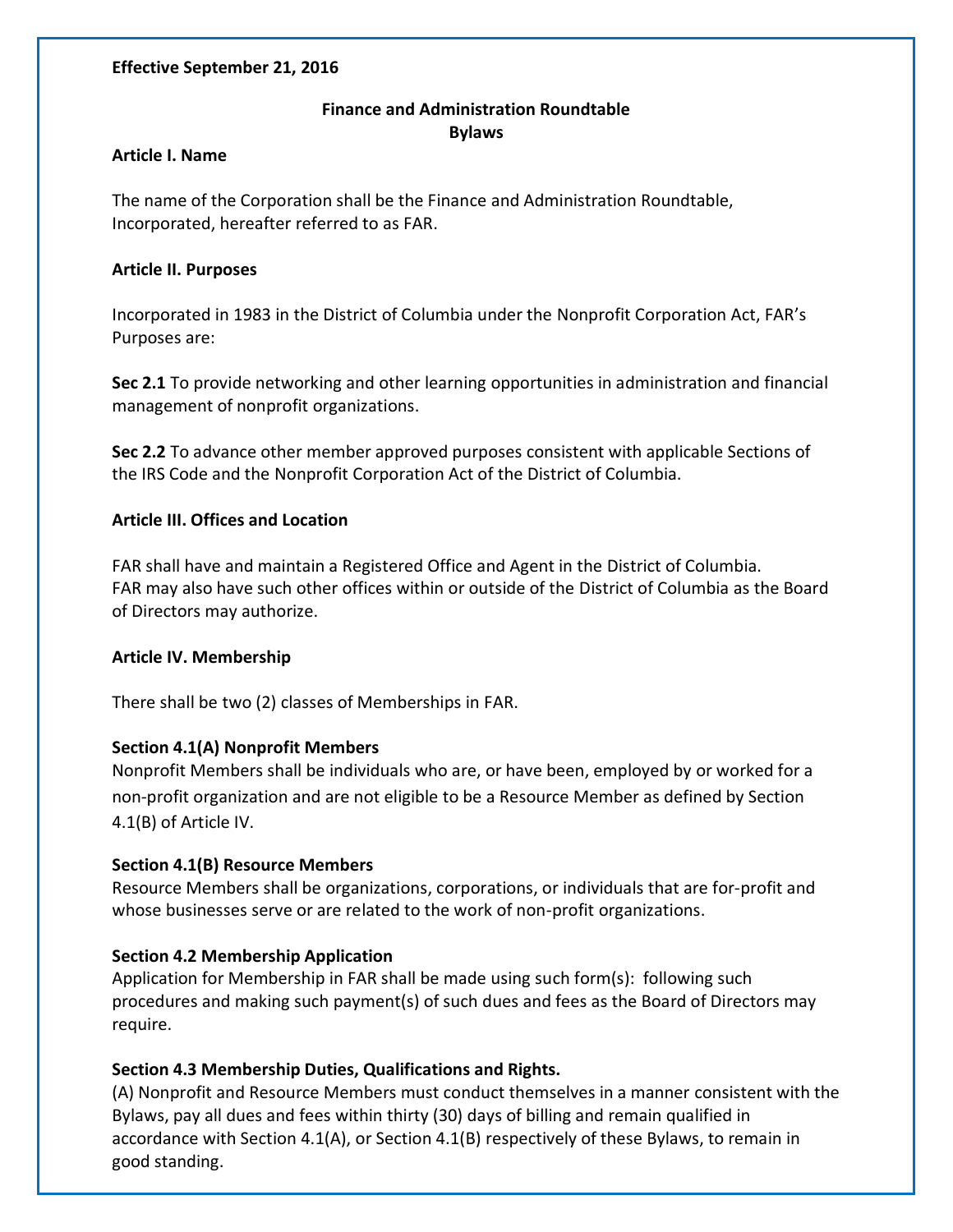#### **Effective September 21, 2016**

# **Finance and Administration Roundtable Bylaws**

#### **Article I. Name**

The name of the Corporation shall be the Finance and Administration Roundtable, Incorporated, hereafter referred to as FAR.

#### **Article II. Purposes**

Incorporated in 1983 in the District of Columbia under the Nonprofit Corporation Act, FAR's Purposes are:

**Sec 2.1** To provide networking and other learning opportunities in administration and financial management of nonprofit organizations.

**Sec 2.2** To advance other member approved purposes consistent with applicable Sections of the IRS Code and the Nonprofit Corporation Act of the District of Columbia.

## **Article III. Offices and Location**

FAR shall have and maintain a Registered Office and Agent in the District of Columbia. FAR may also have such other offices within or outside of the District of Columbia as the Board of Directors may authorize.

#### **Article IV. Membership**

There shall be two (2) classes of Memberships in FAR.

## **Section 4.1(A) Nonprofit Members**

Nonprofit Members shall be individuals who are, or have been, employed by or worked for a non-profit organization and are not eligible to be a Resource Member as defined by Section 4.1(B) of Article IV.

## **Section 4.1(B) Resource Members**

Resource Members shall be organizations, corporations, or individuals that are for-profit and whose businesses serve or are related to the work of non-profit organizations.

## **Section 4.2 Membership Application**

Application for Membership in FAR shall be made using such form(s): following such procedures and making such payment(s) of such dues and fees as the Board of Directors may require.

## **Section 4.3 Membership Duties, Qualifications and Rights.**

(A) Nonprofit and Resource Members must conduct themselves in a manner consistent with the Bylaws, pay all dues and fees within thirty (30) days of billing and remain qualified in accordance with Section 4.1(A), or Section 4.1(B) respectively of these Bylaws, to remain in good standing.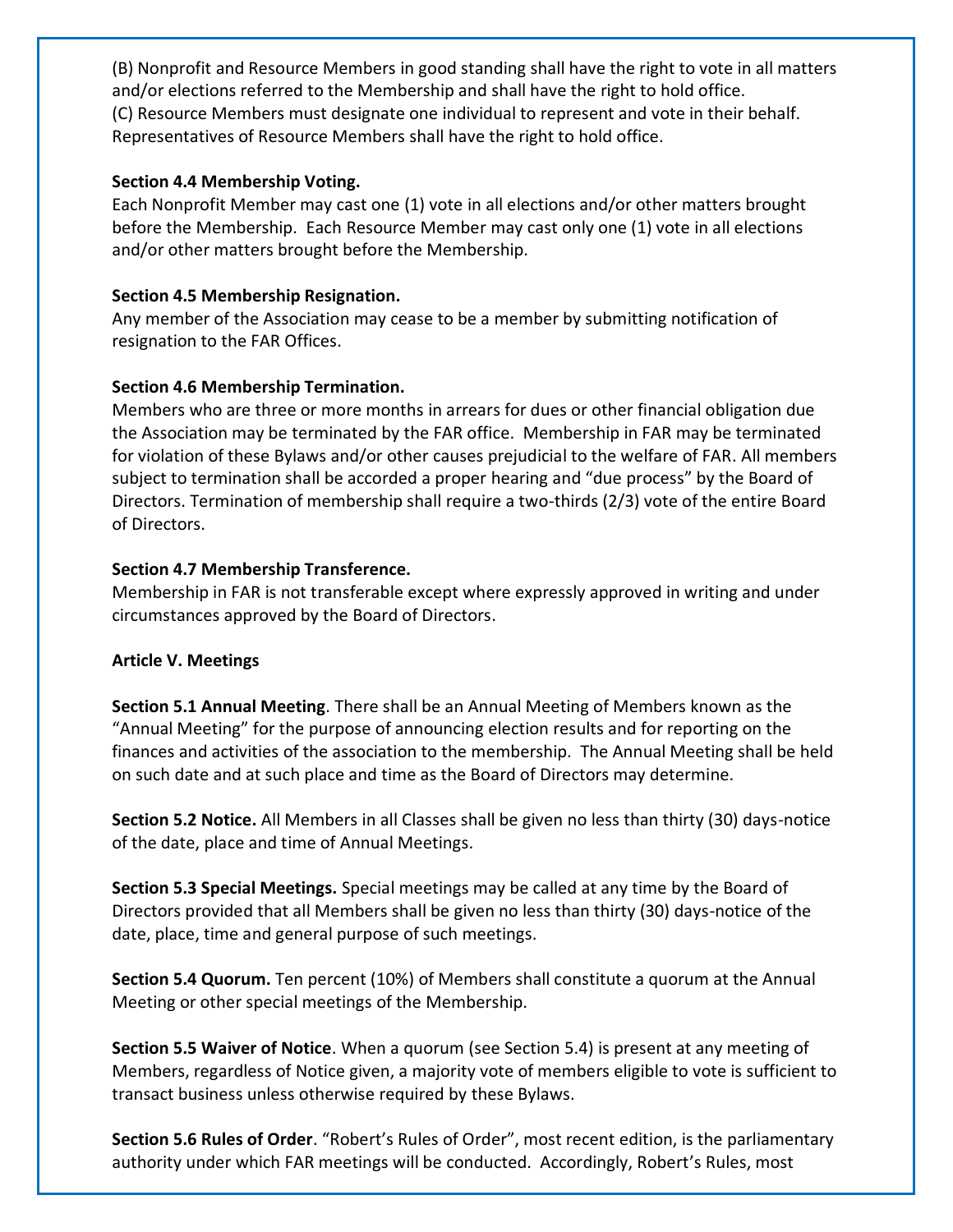(B) Nonprofit and Resource Members in good standing shall have the right to vote in all matters and/or elections referred to the Membership and shall have the right to hold office. (C) Resource Members must designate one individual to represent and vote in their behalf. Representatives of Resource Members shall have the right to hold office.

#### **Section 4.4 Membership Voting.**

Each Nonprofit Member may cast one (1) vote in all elections and/or other matters brought before the Membership. Each Resource Member may cast only one (1) vote in all elections and/or other matters brought before the Membership.

## **Section 4.5 Membership Resignation.**

Any member of the Association may cease to be a member by submitting notification of resignation to the FAR Offices.

## **Section 4.6 Membership Termination.**

Members who are three or more months in arrears for dues or other financial obligation due the Association may be terminated by the FAR office. Membership in FAR may be terminated for violation of these Bylaws and/or other causes prejudicial to the welfare of FAR. All members subject to termination shall be accorded a proper hearing and "due process" by the Board of Directors. Termination of membership shall require a two-thirds (2/3) vote of the entire Board of Directors.

# **Section 4.7 Membership Transference.**

Membership in FAR is not transferable except where expressly approved in writing and under circumstances approved by the Board of Directors.

## **Article V. Meetings**

**Section 5.1 Annual Meeting**. There shall be an Annual Meeting of Members known as the "Annual Meeting" for the purpose of announcing election results and for reporting on the finances and activities of the association to the membership. The Annual Meeting shall be held on such date and at such place and time as the Board of Directors may determine.

**Section 5.2 Notice.** All Members in all Classes shall be given no less than thirty (30) days-notice of the date, place and time of Annual Meetings.

**Section 5.3 Special Meetings.** Special meetings may be called at any time by the Board of Directors provided that all Members shall be given no less than thirty (30) days-notice of the date, place, time and general purpose of such meetings.

**Section 5.4 Quorum.** Ten percent (10%) of Members shall constitute a quorum at the Annual Meeting or other special meetings of the Membership.

**Section 5.5 Waiver of Notice**. When a quorum (see Section 5.4) is present at any meeting of Members, regardless of Notice given, a majority vote of members eligible to vote is sufficient to transact business unless otherwise required by these Bylaws.

**Section 5.6 Rules of Order**. "Robert's Rules of Order", most recent edition, is the parliamentary authority under which FAR meetings will be conducted. Accordingly, Robert's Rules, most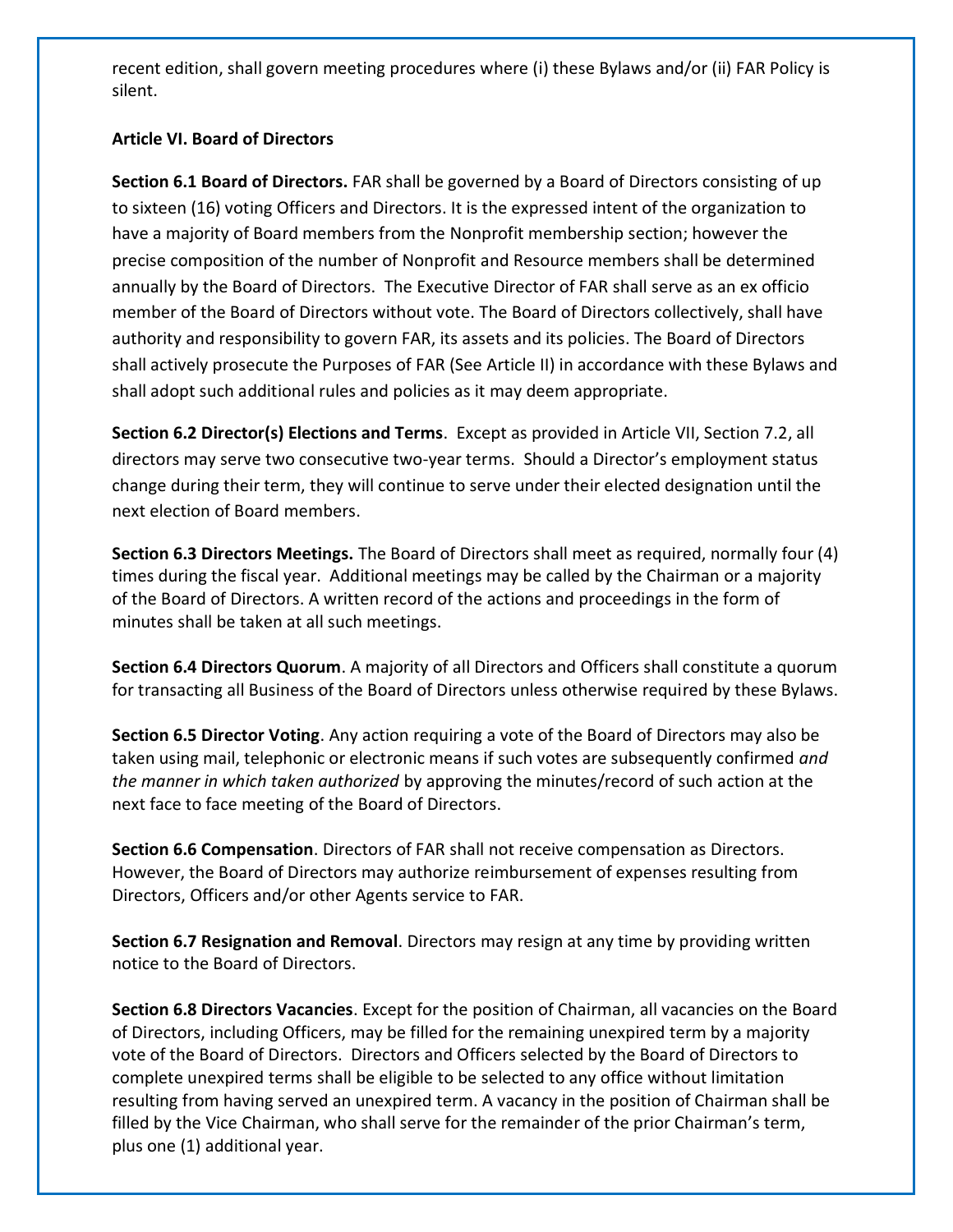recent edition, shall govern meeting procedures where (i) these Bylaws and/or (ii) FAR Policy is silent.

# **Article VI. Board of Directors**

**Section 6.1 Board of Directors.** FAR shall be governed by a Board of Directors consisting of up to sixteen (16) voting Officers and Directors. It is the expressed intent of the organization to have a majority of Board members from the Nonprofit membership section; however the precise composition of the number of Nonprofit and Resource members shall be determined annually by the Board of Directors. The Executive Director of FAR shall serve as an ex officio member of the Board of Directors without vote. The Board of Directors collectively, shall have authority and responsibility to govern FAR, its assets and its policies. The Board of Directors shall actively prosecute the Purposes of FAR (See Article II) in accordance with these Bylaws and shall adopt such additional rules and policies as it may deem appropriate.

**Section 6.2 Director(s) Elections and Terms**. Except as provided in Article VII, Section 7.2, all directors may serve two consecutive two-year terms. Should a Director's employment status change during their term, they will continue to serve under their elected designation until the next election of Board members.

**Section 6.3 Directors Meetings.** The Board of Directors shall meet as required, normally four (4) times during the fiscal year. Additional meetings may be called by the Chairman or a majority of the Board of Directors. A written record of the actions and proceedings in the form of minutes shall be taken at all such meetings.

**Section 6.4 Directors Quorum**. A majority of all Directors and Officers shall constitute a quorum for transacting all Business of the Board of Directors unless otherwise required by these Bylaws.

**Section 6.5 Director Voting**. Any action requiring a vote of the Board of Directors may also be taken using mail, telephonic or electronic means if such votes are subsequently confirmed *and the manner in which taken authorized* by approving the minutes/record of such action at the next face to face meeting of the Board of Directors.

**Section 6.6 Compensation**. Directors of FAR shall not receive compensation as Directors. However, the Board of Directors may authorize reimbursement of expenses resulting from Directors, Officers and/or other Agents service to FAR.

**Section 6.7 Resignation and Removal**. Directors may resign at any time by providing written notice to the Board of Directors.

**Section 6.8 Directors Vacancies**. Except for the position of Chairman, all vacancies on the Board of Directors, including Officers, may be filled for the remaining unexpired term by a majority vote of the Board of Directors. Directors and Officers selected by the Board of Directors to complete unexpired terms shall be eligible to be selected to any office without limitation resulting from having served an unexpired term. A vacancy in the position of Chairman shall be filled by the Vice Chairman, who shall serve for the remainder of the prior Chairman's term, plus one (1) additional year.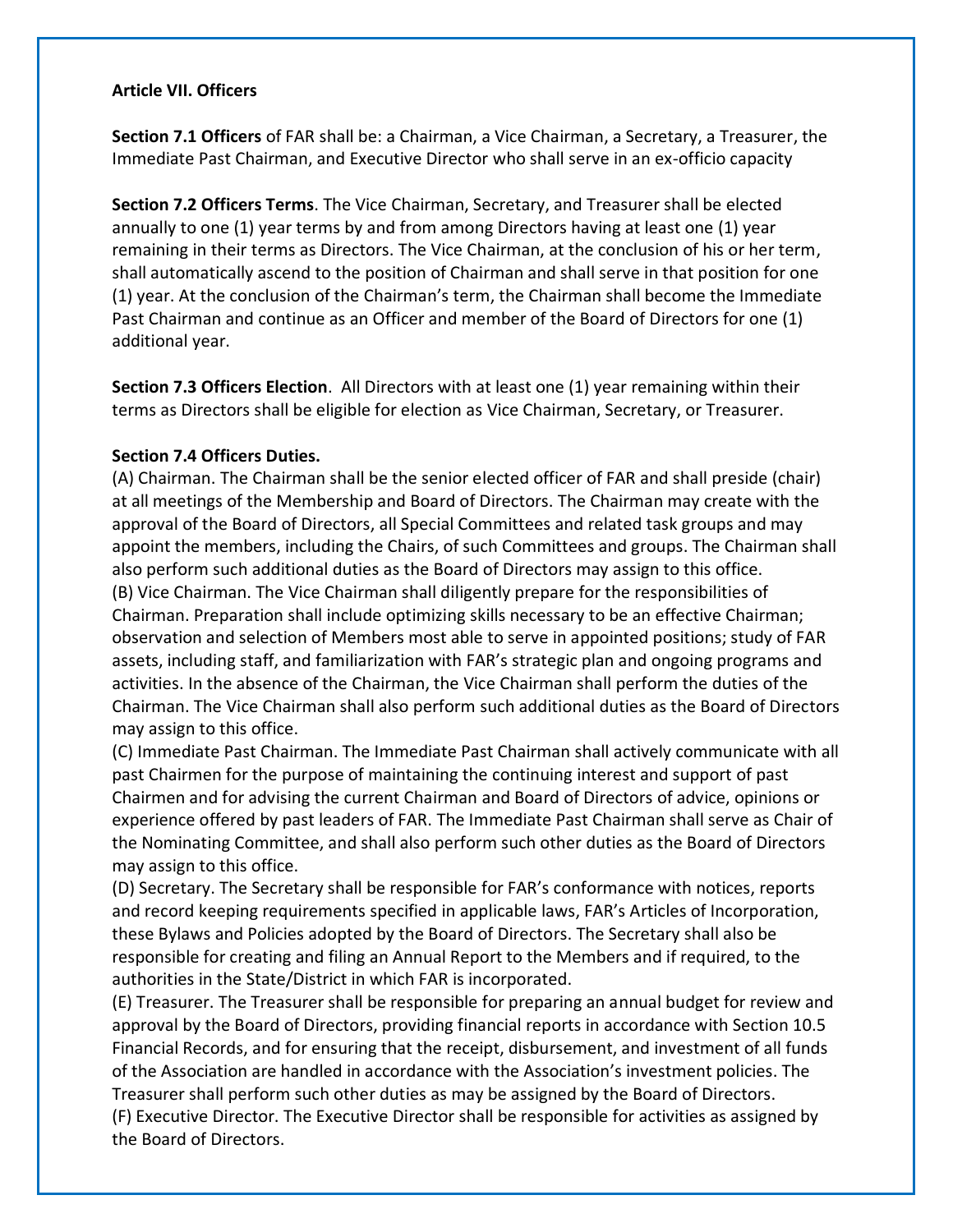#### **Article VII. Officers**

**Section 7.1 Officers** of FAR shall be: a Chairman, a Vice Chairman, a Secretary, a Treasurer, the Immediate Past Chairman, and Executive Director who shall serve in an ex-officio capacity

**Section 7.2 Officers Terms**. The Vice Chairman, Secretary, and Treasurer shall be elected annually to one (1) year terms by and from among Directors having at least one (1) year remaining in their terms as Directors. The Vice Chairman, at the conclusion of his or her term, shall automatically ascend to the position of Chairman and shall serve in that position for one (1) year. At the conclusion of the Chairman's term, the Chairman shall become the Immediate Past Chairman and continue as an Officer and member of the Board of Directors for one (1) additional year.

**Section 7.3 Officers Election**. All Directors with at least one (1) year remaining within their terms as Directors shall be eligible for election as Vice Chairman, Secretary, or Treasurer.

# **Section 7.4 Officers Duties.**

(A) Chairman. The Chairman shall be the senior elected officer of FAR and shall preside (chair) at all meetings of the Membership and Board of Directors. The Chairman may create with the approval of the Board of Directors, all Special Committees and related task groups and may appoint the members, including the Chairs, of such Committees and groups. The Chairman shall also perform such additional duties as the Board of Directors may assign to this office. (B) Vice Chairman. The Vice Chairman shall diligently prepare for the responsibilities of Chairman. Preparation shall include optimizing skills necessary to be an effective Chairman; observation and selection of Members most able to serve in appointed positions; study of FAR assets, including staff, and familiarization with FAR's strategic plan and ongoing programs and activities. In the absence of the Chairman, the Vice Chairman shall perform the duties of the Chairman. The Vice Chairman shall also perform such additional duties as the Board of Directors may assign to this office.

(C) Immediate Past Chairman. The Immediate Past Chairman shall actively communicate with all past Chairmen for the purpose of maintaining the continuing interest and support of past Chairmen and for advising the current Chairman and Board of Directors of advice, opinions or experience offered by past leaders of FAR. The Immediate Past Chairman shall serve as Chair of the Nominating Committee, and shall also perform such other duties as the Board of Directors may assign to this office.

(D) Secretary. The Secretary shall be responsible for FAR's conformance with notices, reports and record keeping requirements specified in applicable laws, FAR's Articles of Incorporation, these Bylaws and Policies adopted by the Board of Directors. The Secretary shall also be responsible for creating and filing an Annual Report to the Members and if required, to the authorities in the State/District in which FAR is incorporated.

(E) Treasurer. The Treasurer shall be responsible for preparing an annual budget for review and approval by the Board of Directors, providing financial reports in accordance with Section 10.5 Financial Records, and for ensuring that the receipt, disbursement, and investment of all funds of the Association are handled in accordance with the Association's investment policies. The Treasurer shall perform such other duties as may be assigned by the Board of Directors.

(F) Executive Director. The Executive Director shall be responsible for activities as assigned by the Board of Directors.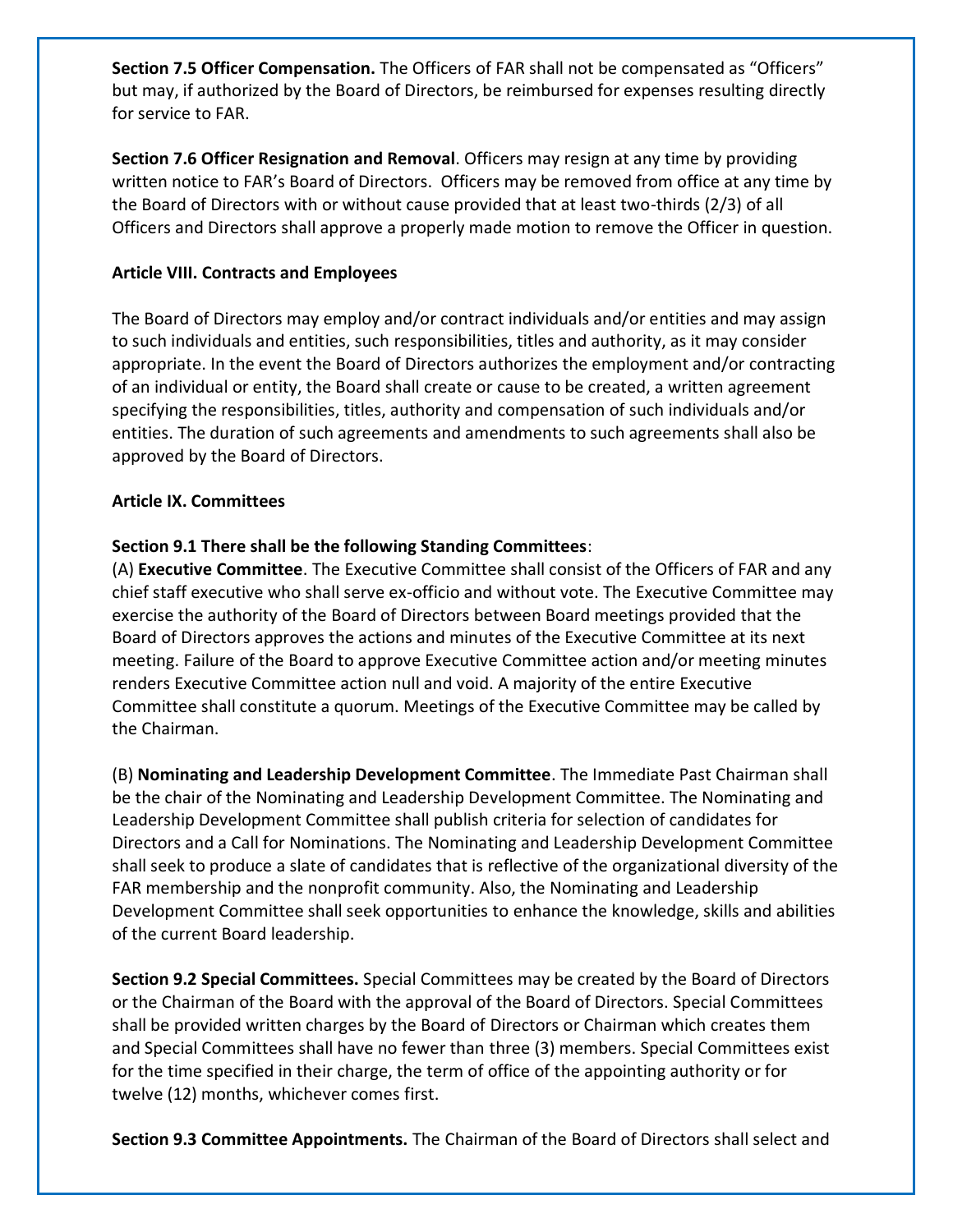**Section 7.5 Officer Compensation.** The Officers of FAR shall not be compensated as "Officers" but may, if authorized by the Board of Directors, be reimbursed for expenses resulting directly for service to FAR.

**Section 7.6 Officer Resignation and Removal**. Officers may resign at any time by providing written notice to FAR's Board of Directors. Officers may be removed from office at any time by the Board of Directors with or without cause provided that at least two-thirds (2/3) of all Officers and Directors shall approve a properly made motion to remove the Officer in question.

# **Article VIII. Contracts and Employees**

The Board of Directors may employ and/or contract individuals and/or entities and may assign to such individuals and entities, such responsibilities, titles and authority, as it may consider appropriate. In the event the Board of Directors authorizes the employment and/or contracting of an individual or entity, the Board shall create or cause to be created, a written agreement specifying the responsibilities, titles, authority and compensation of such individuals and/or entities. The duration of such agreements and amendments to such agreements shall also be approved by the Board of Directors.

## **Article IX. Committees**

# **Section 9.1 There shall be the following Standing Committees**:

(A) **Executive Committee**. The Executive Committee shall consist of the Officers of FAR and any chief staff executive who shall serve ex-officio and without vote. The Executive Committee may exercise the authority of the Board of Directors between Board meetings provided that the Board of Directors approves the actions and minutes of the Executive Committee at its next meeting. Failure of the Board to approve Executive Committee action and/or meeting minutes renders Executive Committee action null and void. A majority of the entire Executive Committee shall constitute a quorum. Meetings of the Executive Committee may be called by the Chairman.

(B) **Nominating and Leadership Development Committee**. The Immediate Past Chairman shall be the chair of the Nominating and Leadership Development Committee. The Nominating and Leadership Development Committee shall publish criteria for selection of candidates for Directors and a Call for Nominations. The Nominating and Leadership Development Committee shall seek to produce a slate of candidates that is reflective of the organizational diversity of the FAR membership and the nonprofit community. Also, the Nominating and Leadership Development Committee shall seek opportunities to enhance the knowledge, skills and abilities of the current Board leadership.

**Section 9.2 Special Committees.** Special Committees may be created by the Board of Directors or the Chairman of the Board with the approval of the Board of Directors. Special Committees shall be provided written charges by the Board of Directors or Chairman which creates them and Special Committees shall have no fewer than three (3) members. Special Committees exist for the time specified in their charge, the term of office of the appointing authority or for twelve (12) months, whichever comes first.

**Section 9.3 Committee Appointments.** The Chairman of the Board of Directors shall select and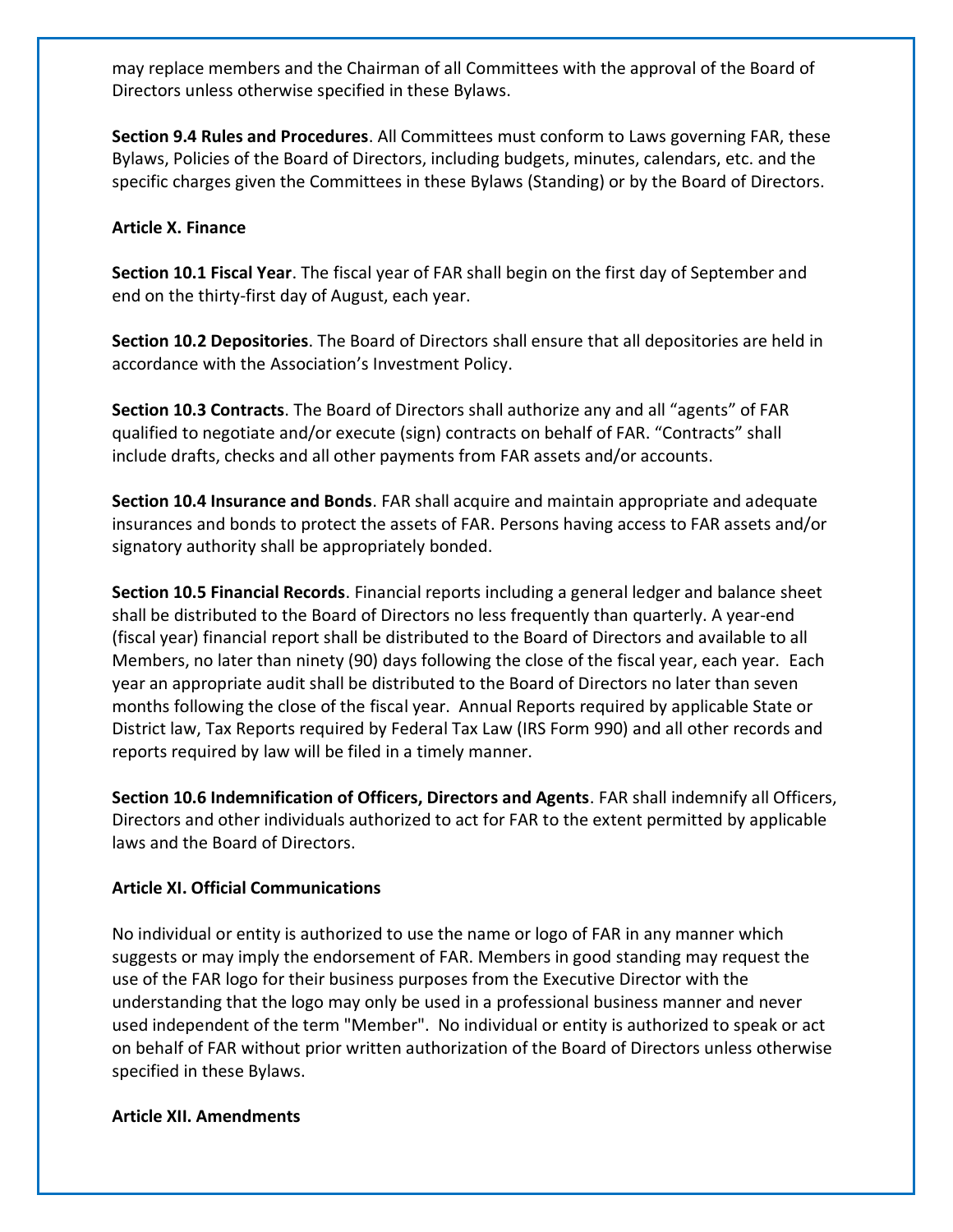may replace members and the Chairman of all Committees with the approval of the Board of Directors unless otherwise specified in these Bylaws.

**Section 9.4 Rules and Procedures**. All Committees must conform to Laws governing FAR, these Bylaws, Policies of the Board of Directors, including budgets, minutes, calendars, etc. and the specific charges given the Committees in these Bylaws (Standing) or by the Board of Directors.

#### **Article X. Finance**

**Section 10.1 Fiscal Year**. The fiscal year of FAR shall begin on the first day of September and end on the thirty-first day of August, each year.

**Section 10.2 Depositories**. The Board of Directors shall ensure that all depositories are held in accordance with the Association's Investment Policy.

**Section 10.3 Contracts**. The Board of Directors shall authorize any and all "agents" of FAR qualified to negotiate and/or execute (sign) contracts on behalf of FAR. "Contracts" shall include drafts, checks and all other payments from FAR assets and/or accounts.

**Section 10.4 Insurance and Bonds**. FAR shall acquire and maintain appropriate and adequate insurances and bonds to protect the assets of FAR. Persons having access to FAR assets and/or signatory authority shall be appropriately bonded.

**Section 10.5 Financial Records**. Financial reports including a general ledger and balance sheet shall be distributed to the Board of Directors no less frequently than quarterly. A year-end (fiscal year) financial report shall be distributed to the Board of Directors and available to all Members, no later than ninety (90) days following the close of the fiscal year, each year. Each year an appropriate audit shall be distributed to the Board of Directors no later than seven months following the close of the fiscal year. Annual Reports required by applicable State or District law, Tax Reports required by Federal Tax Law (IRS Form 990) and all other records and reports required by law will be filed in a timely manner.

**Section 10.6 Indemnification of Officers, Directors and Agents**. FAR shall indemnify all Officers, Directors and other individuals authorized to act for FAR to the extent permitted by applicable laws and the Board of Directors.

#### **Article XI. Official Communications**

No individual or entity is authorized to use the name or logo of FAR in any manner which suggests or may imply the endorsement of FAR. Members in good standing may request the use of the FAR logo for their business purposes from the Executive Director with the understanding that the logo may only be used in a professional business manner and never used independent of the term "Member". No individual or entity is authorized to speak or act on behalf of FAR without prior written authorization of the Board of Directors unless otherwise specified in these Bylaws.

## **Article XII. Amendments**